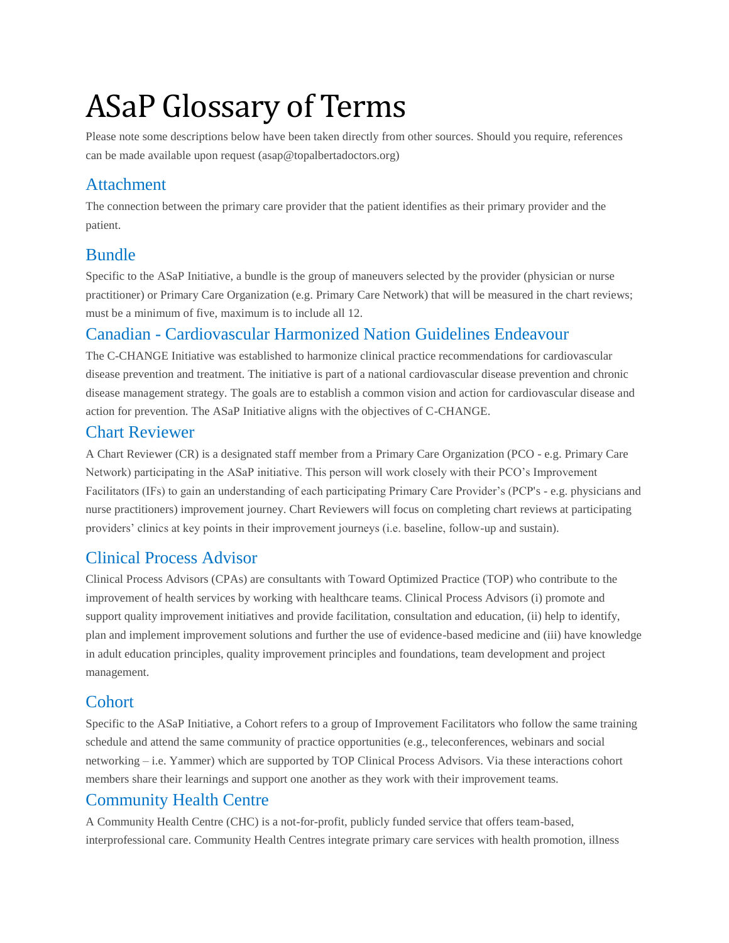# ASaP Glossary of Terms

Please note some descriptions below have been taken directly from other sources. Should you require, references can be made available upon request (asap@topalbertadoctors.org)

## Attachment

The connection between the primary care provider that the patient identifies as their primary provider and the patient.

## Bundle

Specific to the ASaP Initiative, a bundle is the group of maneuvers selected by the provider (physician or nurse practitioner) or Primary Care Organization (e.g. Primary Care Network) that will be measured in the chart reviews; must be a minimum of five, maximum is to include all 12.

## Canadian - Cardiovascular Harmonized Nation Guidelines Endeavour

The C-CHANGE Initiative was established to harmonize clinical practice recommendations for cardiovascular disease prevention and treatment. The initiative is part of a national cardiovascular disease prevention and chronic disease management strategy. The goals are to establish a common vision and action for cardiovascular disease and action for prevention. The ASaP Initiative aligns with the objectives of C-CHANGE.

## Chart Reviewer

A Chart Reviewer (CR) is a designated staff member from a Primary Care Organization (PCO - e.g. Primary Care Network) participating in the ASaP initiative. This person will work closely with their PCO's Improvement Facilitators (IFs) to gain an understanding of each participating Primary Care Provider's (PCP's - e.g. physicians and nurse practitioners) improvement journey. Chart Reviewers will focus on completing chart reviews at participating providers' clinics at key points in their improvement journeys (i.e. baseline, follow-up and sustain).

## Clinical Process Advisor

Clinical Process Advisors (CPAs) are consultants with Toward Optimized Practice (TOP) who contribute to the improvement of health services by working with healthcare teams. Clinical Process Advisors (i) promote and support quality improvement initiatives and provide facilitation, consultation and education, (ii) help to identify, plan and implement improvement solutions and further the use of evidence-based medicine and (iii) have knowledge in adult education principles, quality improvement principles and foundations, team development and project management.

## **Cohort**

Specific to the ASaP Initiative, a Cohort refers to a group of Improvement Facilitators who follow the same training schedule and attend the same community of practice opportunities (e.g., teleconferences, webinars and social networking – i.e. Yammer) which are supported by TOP Clinical Process Advisors. Via these interactions cohort members share their learnings and support one another as they work with their improvement teams.

## Community Health Centre

A Community Health Centre (CHC) is a not-for-profit, publicly funded service that offers team-based, interprofessional care. Community Health Centres integrate primary care services with health promotion, illness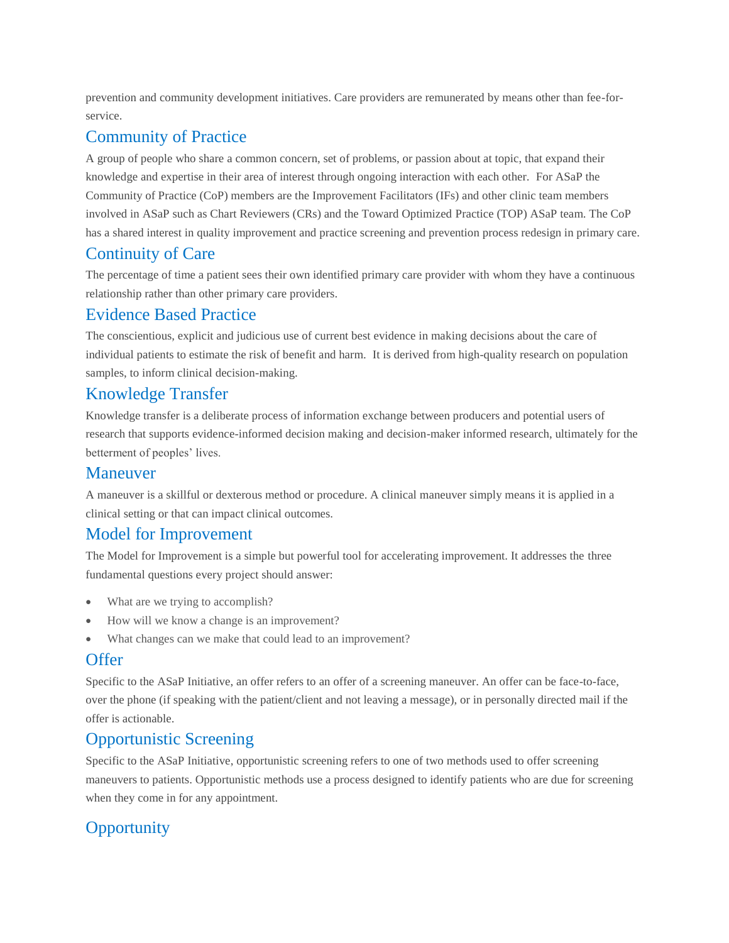prevention and community development initiatives. Care providers are remunerated by means other than fee-forservice.

#### Community of Practice

A group of people who share a common concern, set of problems, or passion about at topic, that expand their knowledge and expertise in their area of interest through ongoing interaction with each other. For ASaP the Community of Practice (CoP) members are the Improvement Facilitators (IFs) and other clinic team members involved in ASaP such as Chart Reviewers (CRs) and the Toward Optimized Practice (TOP) ASaP team. The CoP has a shared interest in quality improvement and practice screening and prevention process redesign in primary care.

## Continuity of Care

The percentage of time a patient sees their own identified primary care provider with whom they have a continuous relationship rather than other primary care providers.

#### Evidence Based Practice

The conscientious, explicit and judicious use of current best evidence in making decisions about the care of individual patients to estimate the risk of benefit and harm. It is derived from high-quality research on population samples, to inform clinical decision-making.

### Knowledge Transfer

Knowledge transfer is a deliberate process of information exchange between producers and potential users of research that supports evidence-informed decision making and decision-maker informed research, ultimately for the betterment of peoples' lives.

#### Maneuver

A maneuver is a skillful or dexterous method or procedure. A clinical maneuver simply means it is applied in a clinical setting or that can impact clinical outcomes.

## Model for Improvement

The Model for Improvement is a simple but powerful tool for accelerating improvement. It addresses the three fundamental questions every project should answer:

- What are we trying to accomplish?
- How will we know a change is an improvement?
- What changes can we make that could lead to an improvement?

### **Offer**

Specific to the ASaP Initiative, an offer refers to an offer of a screening maneuver. An offer can be face-to-face, over the phone (if speaking with the patient/client and not leaving a message), or in personally directed mail if the offer is actionable.

### Opportunistic Screening

Specific to the ASaP Initiative, opportunistic screening refers to one of two methods used to offer screening maneuvers to patients. Opportunistic methods use a process designed to identify patients who are due for screening when they come in for any appointment.

## **Opportunity**